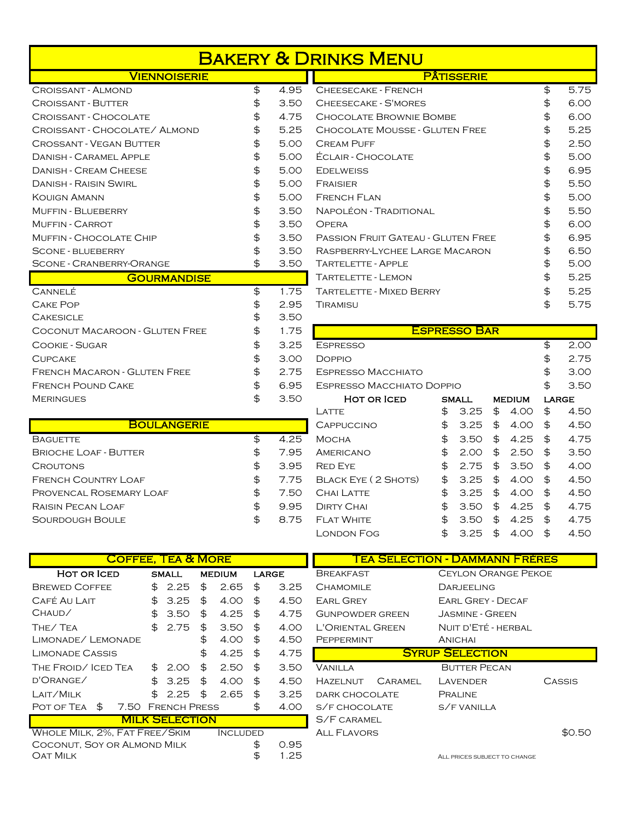| <b>VIENNOISERIE</b>            |            | <b>PAIISSERIE</b>                         |            |
|--------------------------------|------------|-------------------------------------------|------------|
| CROISSANT - ALMOND             | \$<br>4.95 | <b>CHEESECAKE - FRENCH</b>                | \$<br>5.75 |
| <b>CROISSANT - BUTTER</b>      | \$<br>3.50 | CHEESECAKE - S'MORES                      | \$<br>6.00 |
| CROISSANT - CHOCOLATE          | \$<br>4.75 | CHOCOLATE BROWNIE BOMBE                   | \$<br>6.00 |
| CROISSANT - CHOCOLATE/ ALMOND  | \$<br>5.25 | <b>CHOCOLATE MOUSSE - GLUTEN FREE</b>     | \$<br>5.25 |
| <b>CROSSANT - VEGAN BUTTER</b> | \$<br>5.00 | <b>CREAM PUFF</b>                         | \$<br>2.50 |
| <b>DANISH - CARAMEL APPLE</b>  | \$<br>5.00 | <b>ÉCLAIR - CHOCOLATE</b>                 | \$<br>5.00 |
| <b>DANISH - CREAM CHEESE</b>   | \$<br>5.00 | <b>EDELWEISS</b>                          | \$<br>6.95 |
| <b>DANISH - RAISIN SWIRL</b>   | \$<br>5.00 | FRAISIER                                  | \$<br>5.50 |
| KOUIGN AMANN                   | \$<br>5.00 | <b>FRENCH FLAN</b>                        | \$<br>5.00 |
| <b>MUFFIN - BLUEBERRY</b>      | \$<br>3.50 | Napoléon - Traditional                    | \$<br>5.50 |
| <b>MUFFIN - CARROT</b>         | \$<br>3.50 | <b>OPERA</b>                              | \$<br>6.00 |
| MUFFIN - CHOCOLATE CHIP        | \$<br>3.50 | <b>PASSION FRUIT GATEAU - GLUTEN FREE</b> | \$<br>6.95 |
| SCONE - BLUEBERRY              | \$<br>3.50 | RASPBERRY-LYCHEE LARGE MACARON            | \$<br>6.50 |
| SCONE - CRANBERRY-ORANGE       | \$<br>3.50 | <b>TARTELETTE - APPLE</b>                 | \$<br>5.00 |
| <b>GOURMANDISE</b>             |            | TARTELETTE - LEMON                        | \$<br>5.25 |
| Cannelé                        | \$<br>1.75 | TARTELETTE - MIXED BERRY                  | \$<br>5.25 |
| <b>CAKE POP</b>                | \$<br>2.95 | TIRAMISU                                  | \$<br>5.75 |

| <b>CAKE POP</b>                     | 2.95 | Tiramisu                         |                     |               |       | 5   |
|-------------------------------------|------|----------------------------------|---------------------|---------------|-------|-----|
| <b>CAKESICLE</b>                    | 3.50 |                                  |                     |               |       |     |
| COCONUT MACAROON - GLUTEN FREE      | 1.75 |                                  | <b>ESPRESSO BAR</b> |               |       |     |
| <b>COOKIE - SUGAR</b>               | 3.25 | <b>ESPRESSO</b>                  |                     |               |       | 2   |
| <b>CUPCAKE</b>                      | 3.00 | <b>DOPPIO</b>                    |                     |               |       | -2  |
| <b>FRENCH MACARON - GLUTEN FREE</b> | 2.75 | <b>ESPRESSO MACCHIATO</b>        |                     |               |       | - G |
| <b>FRENCH POUND CAKE</b>            | 6.95 | <b>ESPRESSO MACCHIATO DOPPIO</b> |                     |               |       | - 3 |
| <b>MERINGUES</b>                    | 3.50 | <b>HOT OR ICED</b>               | <b>SMALL</b>        | <b>MEDIUM</b> | LARGE |     |
|                                     |      |                                  |                     |               |       |     |

| <b>BOULANGERIE</b>           |            |
|------------------------------|------------|
| <b>BAGUETTE</b>              | \$<br>4.25 |
| <b>BRIOCHE LOAF - BUTTER</b> | \$<br>7.95 |
| <b>CROUTONS</b>              | \$<br>3.95 |
| <b>FRENCH COUNTRY LOAF</b>   | \$<br>7.75 |
| PROVENCAL ROSEMARY LOAF      | \$<br>7.50 |
| RAISIN PECAN LOAF            | \$<br>9.95 |
| <b>SOURDOUGH BOULE</b>       | \$<br>875  |

| VIENNOISERIE       |            | <b>PÂTISSERIE</b>                         |            |
|--------------------|------------|-------------------------------------------|------------|
|                    | \$<br>4.95 | CHEESECAKE - FRENCH                       | \$<br>5.75 |
|                    | \$<br>3.50 | CHEESECAKE - S'MORES                      | \$<br>6.00 |
| LATE               | \$<br>4.75 | CHOCOLATE BROWNIE BOMBE                   | \$<br>6.00 |
| late/ Almond       | \$<br>5.25 | <b>CHOCOLATE MOUSSE - GLUTEN FREE</b>     | \$<br>5.25 |
| UTTER              | \$<br>5.00 | <b>CREAM PUFF</b>                         | \$<br>2.50 |
| PPLE               | \$<br>5.00 | <b>ÉCLAIR - CHOCOLATE</b>                 | \$<br>5.00 |
| <b>ESE</b>         | \$<br>5.00 | <b>EDELWEISS</b>                          | \$<br>6.95 |
| ЯĒ                 | \$<br>5.00 | FRAISIER                                  | \$<br>5.50 |
|                    | \$<br>5.00 | <b>FRENCH FLAN</b>                        | \$<br>5.00 |
|                    | \$<br>3.50 | NAPOLÉON - TRADITIONAL                    | \$<br>5.50 |
|                    | \$<br>3.50 | <b>OPERA</b>                              | \$<br>6.00 |
| E Chip             | \$<br>3.50 | <b>PASSION FRUIT GATEAU - GLUTEN FREE</b> | \$<br>6.95 |
|                    | \$<br>3.50 | RASPBERRY-LYCHEE LARGE MACARON            | \$<br>6.50 |
| Orange             | \$<br>3.50 | <b>TARTELETTE - APPLE</b>                 | \$<br>5.00 |
| <u>GOURMANDISE</u> |            | TARTELETTE - LEMON                        | \$<br>5.25 |
|                    | \$<br>1.75 | <b>TARTELETTE - MIXED BERRY</b>           | \$<br>5.25 |
|                    | \$<br>2.95 | TIRAMISU                                  | \$<br>5.75 |

| Coconut Macaroon - Gluten Free | \$<br>1.75 |                                  | <b>ESPRESSO BAR</b> |               |      |              |
|--------------------------------|------------|----------------------------------|---------------------|---------------|------|--------------|
| Cookie - Sugar                 | \$<br>3.25 | <b>ESPRESSO</b>                  |                     |               | \$   | 2.00         |
| <b>CUPCAKE</b>                 | \$<br>3.00 | <b>DOPPIO</b>                    |                     |               | \$   | 2.75         |
| French Macaron - Gluten Free   | \$<br>2.75 | <b>ESPRESSO MACCHIATO</b>        |                     |               | \$   | 3.00         |
| French Pound Cake              | \$<br>6.95 | <b>ESPRESSO MACCHIATO DOPPIO</b> |                     |               | \$   | 3.50         |
| <b>MERINGUES</b>               | \$<br>3.50 | HOT OR ICED                      | <b>SMALL</b>        | <b>MEDIUM</b> |      | <b>LARGE</b> |
|                                |            | LATTE                            | \$<br>3.25          | \$<br>4.00    | \$   | 4.50         |
| <b>BOULANGERIE</b>             |            | <b>CAPPUCCINO</b>                | \$<br>3.25          | \$<br>4.00    | \$   | 4.50         |
| <b>BAGUETTE</b>                | \$<br>4.25 | МОСНА                            | \$<br>3.50          | \$<br>4.25    | \$   | 4.75         |
| <b>BRIOCHE LOAF - BUTTER</b>   | \$<br>7.95 | <b>AMERICANO</b>                 | \$<br>2.00          | \$<br>2.50    | \$   | 3.50         |
| CROUTONS                       | \$<br>3.95 | <b>RED EYE</b>                   | \$<br>2.75          | \$<br>3.50    | \$   | 4.00         |
| French Country Loaf            | \$<br>7.75 | BLACK EYE (2 SHOTS)              | \$<br>3.25          | \$<br>4.00    | \$   | 4.50         |
| Provencal Rosemary Loaf        | \$<br>7.50 | CHAI LATTE                       | \$<br>3.25          | \$<br>4.00    | - \$ | 4.50         |
| Raisin Pecan Loaf              | \$<br>9.95 | <b>DIRTY CHAI</b>                | \$<br>3.50          | \$<br>4.25    | \$   | 4.75         |
| Sourdough Boule                | \$<br>8.75 | <b>FLAT WHITE</b>                | \$<br>3.50          | \$<br>4.25    | \$   | 4.75         |
|                                |            | London Fog                       | \$<br>3.25          | \$<br>4.00    | \$   | 4.50         |

| <b>COFFEE, TEA &amp; MORE</b> |                |                       |                 |            | <b>TEA SELECTION - DAMMANN FRÈRES</b> |         |                            |        |
|-------------------------------|----------------|-----------------------|-----------------|------------|---------------------------------------|---------|----------------------------|--------|
| <b>HOT OR ICED</b>            |                | <b>SMALL</b>          | <b>MEDIUM</b>   | LARGE      | <b>BREAKFAST</b>                      |         | <b>CEYLON ORANGE PEKOE</b> |        |
| <b>BREWED COFFEE</b>          | \$             | 2.25                  | \$<br>2.65      | \$<br>3.25 | <b>CHAMOMILE</b>                      |         | DARJEELING                 |        |
| CAFÉ AU LAIT                  | $\mathfrak{L}$ | 3.25                  | \$<br>4.00      | \$<br>4.50 | <b>EARL GREY</b>                      |         | EARL GREY - DECAF          |        |
| CHAUD/                        | \$F.           | 3.50                  | \$<br>4.25      | \$<br>4.75 | GUNPOWDER GREEN                       |         | JASMINE - GREEN            |        |
| THE/TEA                       | $\mathfrak{F}$ | 2.75                  | \$<br>3.50      | \$<br>4.00 | L'ORIENTAL GREEN                      |         | NUIT D'ETÉ - HERBAL        |        |
| Limonade/Lemonade             |                |                       | \$<br>4.00      | \$<br>4.50 | PEPPERMINT                            |         | <b>ANICHAI</b>             |        |
| <b>LIMONADE CASSIS</b>        |                |                       | \$<br>4.25      | \$<br>4.75 |                                       |         | <b>SYRUP SELECTION</b>     |        |
| THE FROID/ICED TEA            |                | \$2.00                | \$<br>2.50      | \$<br>3.50 | <b>VANILLA</b>                        |         | <b>BUTTER PECAN</b>        |        |
| D'ORANGE/                     |                | \$3.25                | \$<br>4.00      | \$<br>4.50 | <b>HAZELNUT</b>                       | CARAMEL | LAVENDER                   | CASSIS |
| LAIT/MILK                     | $\mathfrak{L}$ | 2.25                  | \$<br>2.65      | \$<br>3.25 | <b>DARK CHOCOLATE</b>                 |         | <b>PRALINE</b>             |        |
| POT OF TEA<br>\$<br>7.50      |                | <b>FRENCH PRESS</b>   |                 | \$<br>4.00 | S/F CHOCOLATE                         |         | S/F VANILLA                |        |
|                               |                | <b>MILK SELECTION</b> |                 |            | S/F CARAMEL                           |         |                            |        |
| WHOLE MILK, 2%, FAT FREE/SKIM |                |                       | <b>INCLUDED</b> |            | <b>ALL FLAVORS</b>                    |         |                            | \$0.   |
| COCONUT. SOY OR ALMOND MILK   |                |                       |                 | \$<br>0.95 |                                       |         |                            |        |

| <b>COFFEE, TEA &amp; MORE</b> |    |                       |    |                 |       |      | <u> Fea Selection - Dammann Frères</u> |                |                              |        |
|-------------------------------|----|-----------------------|----|-----------------|-------|------|----------------------------------------|----------------|------------------------------|--------|
| <b>HOT OR ICED</b>            |    | <b>SMALL</b>          |    | <b>MEDIUM</b>   | LARGE |      | <b>BREAKFAST</b>                       |                | <b>CEYLON ORANGE PEKOE</b>   |        |
| <b>BREWED COFFEE</b>          | \$ | 2.25                  | \$ | 2.65            | \$    | 3.25 | <b>CHAMOMILE</b>                       |                | DARJEELING                   |        |
| CAFÉ AU LAIT                  | \$ | 3.25                  | \$ | 4.00            | \$    | 4.50 | <b>EARL GREY</b>                       |                | EARL GREY - DECAF            |        |
| CHAUD/                        | \$ | 3.50                  | \$ | 4.25            | \$    | 4.75 | GUNPOWDER GREEN                        |                | <b>JASMINE - GREEN</b>       |        |
| THE/TEA                       | \$ | 2.75                  | \$ | 3.50            | \$    | 4.00 | L'ORIENTAL GREEN                       |                | NUIT D'ETÉ - HERBAL          |        |
| LIMONADE/LEMONADE             |    |                       | \$ | 4.00            | \$    | 4.50 | PEPPERMINT                             |                | ANICHAI                      |        |
| <b>LIMONADE CASSIS</b>        |    |                       | \$ | 4.25            | \$    | 4.75 |                                        |                | <b>SYRUP SELECTION</b>       |        |
| THE FROID/ICED TEA            |    | \$2.00                | \$ | 2.50            | \$    | 3.50 | <b>VANILLA</b>                         |                | <b>BUTTER PECAN</b>          |        |
| D'ORANGE/                     | \$ | 3.25                  | \$ | 4.00            | \$    | 4.50 | <b>HAZELNUT</b>                        | <b>CARAMEL</b> | LAVENDER                     | CASSIS |
| Lait/Milk                     | \$ | 2.25                  | \$ | 2.65            | \$    | 3.25 | <b>DARK CHOCOLATE</b>                  |                | PRALINE                      |        |
| POT OF TEA \$<br>7.50         |    | <b>FRENCH PRESS</b>   |    |                 | \$    | 4.00 | S/F CHOCOLATE                          |                | S/F VANILLA                  |        |
|                               |    | <b>MILK SELECTION</b> |    |                 |       |      | S/F CARAMEL                            |                |                              |        |
| WHOLE MILK, 2%, FAT FREE/SKIM |    |                       |    | <b>INCLUDED</b> |       |      | <b>ALL FLAVORS</b>                     |                |                              | \$0.50 |
| COCONUT, SOY OR ALMOND MILK   |    |                       |    |                 | \$    | 0.95 |                                        |                |                              |        |
| <b>OAT MILK</b>               |    |                       |    |                 | £     | 1.25 |                                        |                | ALL PRICES SUBJECT TO CHANGE |        |